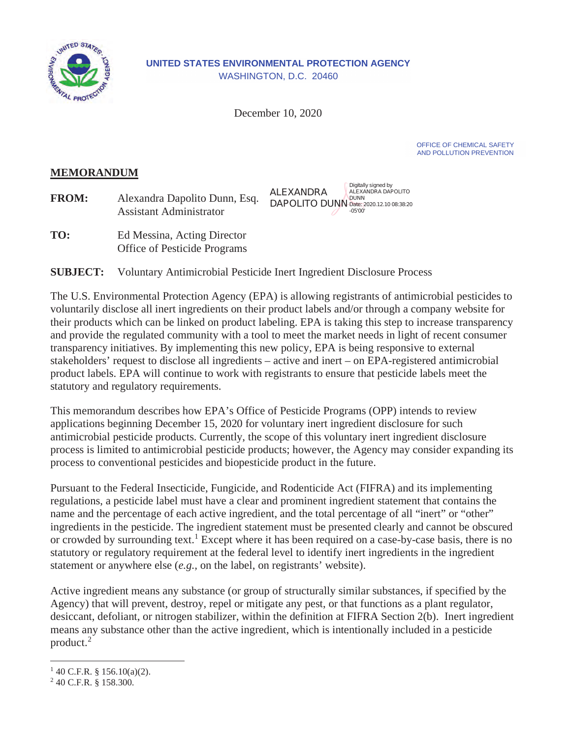

#### **UNITED STATES ENVIRONMENTAL PROTECTION AGENCY**  WASHINGTON, D.C. 20460

December 10, 2020

OFFICE OF CHEMICAL SAFETY AND POLLUTION PREVENTION

## **MEMORANDUM**

| <b>FROM:</b> | Alexandra Dapolito Dunn, Esq.<br><b>Assistant Administrator</b> | Digitally signed by<br>ALEXANDRA<br>ALEXANDRA DAPOLITO<br><b>DAPOLITO DUNN Date: 2020.12.10 08:38:20</b><br>-05'00' |
|--------------|-----------------------------------------------------------------|---------------------------------------------------------------------------------------------------------------------|
|--------------|-----------------------------------------------------------------|---------------------------------------------------------------------------------------------------------------------|

TO: Office of Pesticide Programs Ed Messina, Acting Director

**SUBJECT: SUBJECT:** Voluntary Antimicrobial Pesticide Inert Ingredient Disclosure Process

 voluntarily disclose all inert ingredients on their product labels and/or through a company website for The U.S. Environmental Protection Agency (EPA) is allowing registrants of antimicrobial pesticides to their products which can be linked on product labeling. EPA is taking this step to increase transparency and provide the regulated community with a tool to meet the market needs in light of recent consumer transparency initiatives. By implementing this new policy, EPA is being responsive to external stakeholders' request to disclose all ingredients – active and inert – on EPA-registered antimicrobial product labels. EPA will continue to work with registrants to ensure that pesticide labels meet the statutory and regulatory requirements.

 applications beginning December 15, 2020 for voluntary inert ingredient disclosure for such process to conventional pesticides and biopesticide product in the future. This memorandum describes how EPA's Office of Pesticide Programs (OPP) intends to review antimicrobial pesticide products. Currently, the scope of this voluntary inert ingredient disclosure process is limited to antimicrobial pesticide products; however, the Agency may consider expanding its

name and the percentage of each active ingredient, and the total percentage of all "inert" or "other" statutory or regulatory requirement at the federal level to identify inert ingredients in the ingredient Pursuant to the Federal Insecticide, Fungicide, and Rodenticide Act (FIFRA) and its implementing regulations, a pesticide label must have a clear and prominent ingredient statement that contains the ingredients in the pesticide. The ingredient statement must be presented clearly and cannot be obscured or crowded by surrounding text.<sup>1</sup> Except where it has been required on a case-by-case basis, there is no statement or anywhere else (*e.g.,* on the label, on registrants' website).

 means any substance other than the active ingredient, which is intentionally included in a pesticide product.<sup>2</sup> Active ingredient means any substance (or group of structurally similar substances, if specified by the Agency) that will prevent, destroy, repel or mitigate any pest, or that functions as a plant regulator, desiccant, defoliant, or nitrogen stabilizer, within the definition at FIFRA Section 2(b). Inert ingredient

<sup>&</sup>lt;sup>1</sup> 40 C.F.R. § 156.10(a)(2).<br><sup>2</sup> 40 C E R <sup>8</sup> 158.300

 <sup>40</sup> C.F.R. § 158.300.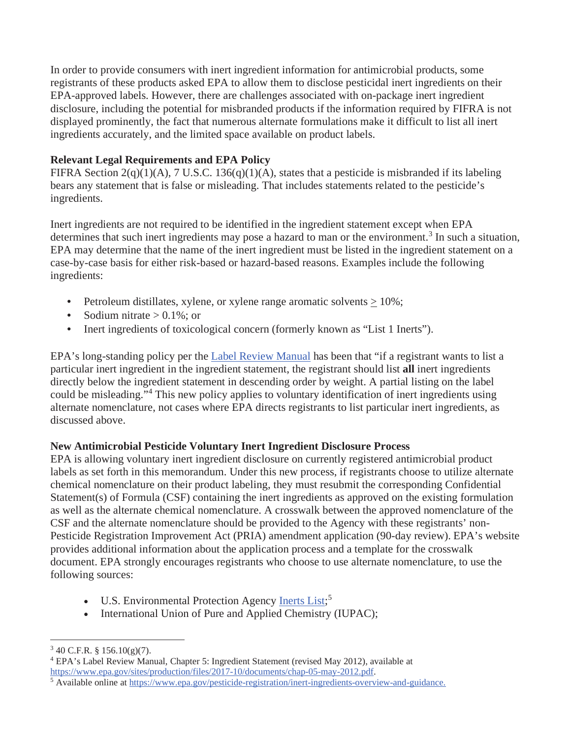In order to provide consumers with inert ingredient information for antimicrobial products, some disclosure, including the potential for misbranded products if the information required by FIFRA is not displayed prominently, the fact that numerous alternate formulations make it difficult to list all inert registrants of these products asked EPA to allow them to disclose pesticidal inert ingredients on their EPA-approved labels. However, there are challenges associated with on-package inert ingredient ingredients accurately, and the limited space available on product labels.

# **Relevant Legal Requirements and EPA Policy**

FIFRA Section 2(q)(1)(A), 7 U.S.C. 136(q)(1)(A), states that a pesticide is misbranded if its labeling bears any statement that is false or misleading. That includes statements related to the pesticide's ingredients.

 Inert ingredients are not required to be identified in the ingredient statement except when EPA EPA may determine that the name of the inert ingredient must be listed in the ingredient statement on a ingredients: determines that such inert ingredients may pose a hazard to man or the environment.<sup>3</sup> In such a situation, case-by-case basis for either risk-based or hazard-based reasons. Examples include the following

- Petroleum distillates, xylene, or xylene range aromatic solvents  $\geq 10\%$ ;
- Sodium nitrate  $> 0.1\%$ ; or
- Inert ingredients of toxicological concern (formerly known as "List 1 Inerts").

EPA's long-standing policy per the Label Review Manual has been that "if a registrant wants to list a particular inert ingredient in the ingredient statement, the registrant should list **all** inert ingredients directly below the ingredient statement in descending order by weight. A partial listing on the label could be misleading."<sup>4</sup> This new policy applies to voluntary identification of inert ingredients using alternate nomenclature, not cases where EPA directs registrants to list particular inert ingredients, as discussed above.

### **New Antimicrobial Pesticide Voluntary Inert Ingredient Disclosure Process**

 following sources: EPA is allowing voluntary inert ingredient disclosure on currently registered antimicrobial product labels as set forth in this memorandum. Under this new process, if registrants choose to utilize alternate chemical nomenclature on their product labeling, they must resubmit the corresponding Confidential Statement(s) of Formula (CSF) containing the inert ingredients as approved on the existing formulation as well as the alternate chemical nomenclature. A crosswalk between the approved nomenclature of the CSF and the alternate nomenclature should be provided to the Agency with these registrants' non-Pesticide Registration Improvement Act (PRIA) amendment application (90-day review). EPA's website provides additional information about the application process and a template for the crosswalk document. EPA strongly encourages registrants who choose to use alternate nomenclature, to use the

- U.S. Environmental Protection Agency Inerts List;<sup>5</sup>
- International Union of Pure and Applied Chemistry (IUPAC);

 $3$  40 C.F.R. § 156.10(g)(7).

<sup>&</sup>lt;sup>4</sup> EPA's Label Review Manual, Chapter 5: Ingredient Statement (revised May 2012), available at [https://www.epa.gov/sites/production/files/2017-10/documents/chap-05-may-2012.pdf.](https://www.epa.gov/sites/production/files/2017-10/documents/chap-05-may-2012.pdf)

Available online at [https://www.epa.gov/pesticide-registration/inert-ingredients-overview-and-guidance.](https://www.epa.gov/pesticide-registration/inert-ingredients-overview-and-guidance)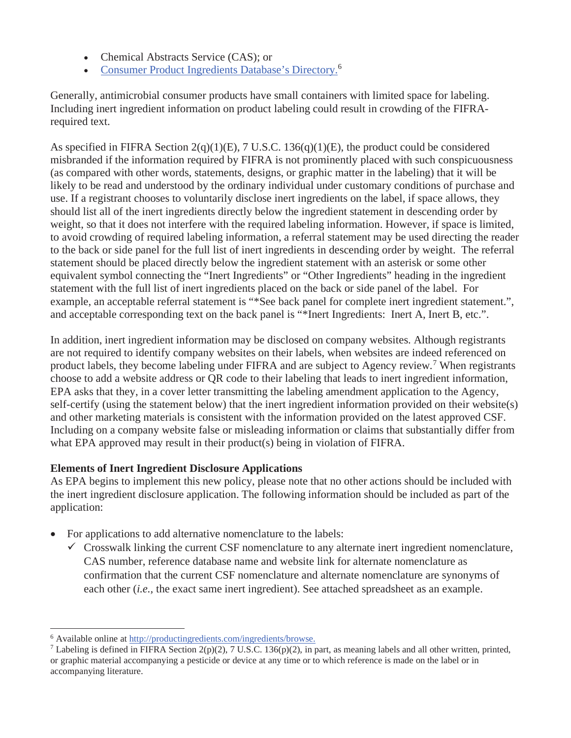- Chemical Abstracts Service (CAS); or
- Consumer Product Ingredients Database's Directory.<sup>6</sup>

Generally, antimicrobial consumer products have small containers with limited space for labeling. Including inert ingredient information on product labeling could result in crowding of the FIFRArequired text.

 should list all of the inert ingredients directly below the ingredient statement in descending order by As specified in FIFRA Section 2(q)(1)(E), 7 U.S.C. 136(q)(1)(E), the product could be considered misbranded if the information required by FIFRA is not prominently placed with such conspicuousness (as compared with other words, statements, designs, or graphic matter in the labeling) that it will be likely to be read and understood by the ordinary individual under customary conditions of purchase and use. If a registrant chooses to voluntarily disclose inert ingredients on the label, if space allows, they weight, so that it does not interfere with the required labeling information. However, if space is limited, to avoid crowding of required labeling information, a referral statement may be used directing the reader to the back or side panel for the full list of inert ingredients in descending order by weight. The referral statement should be placed directly below the ingredient statement with an asterisk or some other equivalent symbol connecting the "Inert Ingredients" or "Other Ingredients" heading in the ingredient statement with the full list of inert ingredients placed on the back or side panel of the label. For example, an acceptable referral statement is "\*See back panel for complete inert ingredient statement.", and acceptable corresponding text on the back panel is "\*Inert Ingredients: Inert A, Inert B, etc.".

 In addition, inert ingredient information may be disclosed on company websites. Although registrants self-certify (using the statement below) that the inert ingredient information provided on their website(s) what EPA approved may result in their product(s) being in violation of FIFRA. are not required to identify company websites on their labels, when websites are indeed referenced on product labels, they become labeling under FIFRA and are subject to Agency review.<sup>7</sup> When registrants choose to add a website address or QR code to their labeling that leads to inert ingredient information, EPA asks that they, in a cover letter transmitting the labeling amendment application to the Agency, and other marketing materials is consistent with the information provided on the latest approved CSF. Including on a company website false or misleading information or claims that substantially differ from

### **Elements of Inert Ingredient Disclosure Applications**

application: As EPA begins to implement this new policy, please note that no other actions should be included with the inert ingredient disclosure application. The following information should be included as part of the

- $\bullet$ For applications to add alternative nomenclature to the labels:
	- CAS number, reference database name and website link for alternate nomenclature as  $\checkmark$  Crosswalk linking the current CSF nomenclature to any alternate inert ingredient nomenclature, confirmation that the current CSF nomenclature and alternate nomenclature are synonyms of each other (*i.e.,* the exact same inert ingredient). See attached spreadsheet as an example.

<sup>&</sup>lt;sup>6</sup> Available online at <u>[http://productingredients.com/ingredients/browse.](http://productingredients.com/ingredients/browse)</u><br><sup>7</sup> Labeling is defined in FIERA Section  $2(p)(2)$ ,  $7$  II S.C. 136(p)(2) in r

<sup>&</sup>lt;sup>7</sup> Labeling is defined in FIFRA Section 2(p)(2), 7 U.S.C. 136(p)(2), in part, as meaning labels and all other written, printed, or graphic material accompanying a pesticide or device at any time or to which reference is made on the label or in accompanying literature.